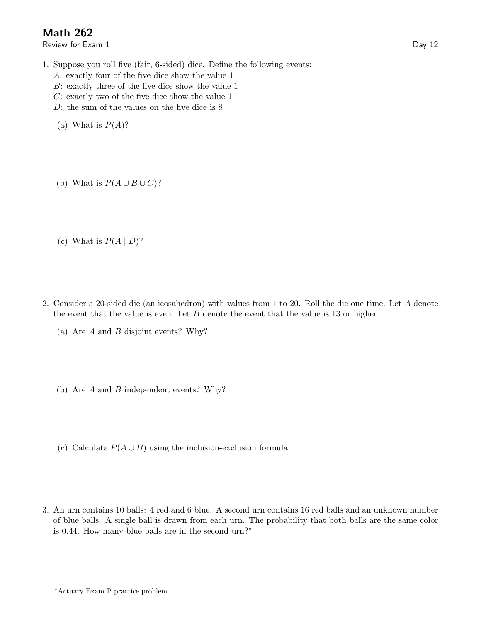## Math 262

Review for Exam 1 Day 12

- 1. Suppose you roll five (fair, 6-sided) dice. Define the following events:
	- A: exactly four of the five dice show the value 1
	- B: exactly three of the five dice show the value 1
	- C: exactly two of the five dice show the value 1
	- D: the sum of the values on the five dice is 8
	- (a) What is  $P(A)$ ?
	- (b) What is  $P(A \cup B \cup C)$ ?

(c) What is  $P(A | D)$ ?

- 2. Consider a 20-sided die (an icosahedron) with values from 1 to 20. Roll the die one time. Let A denote the event that the value is even. Let  $B$  denote the event that the value is 13 or higher.
	- (a) Are A and B disjoint events? Why?
	- (b) Are A and B independent events? Why?
	- (c) Calculate  $P(A \cup B)$  using the inclusion-exclusion formula.
- 3. An urn contains 10 balls: 4 red and 6 blue. A second urn contains 16 red balls and an unknown number of blue balls. A single ball is drawn from each urn. The probability that both balls are the same color is 0.44. How many blue balls are in the second urn?∗

<sup>∗</sup>Actuary Exam P practice problem